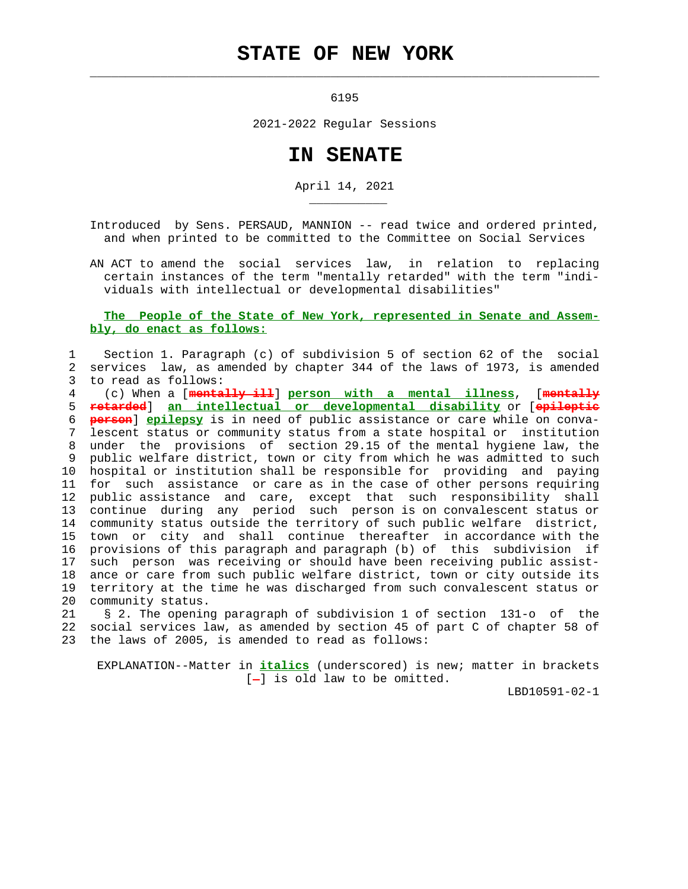## **STATE OF NEW YORK**

6195

 $\mathcal{L}_\text{max} = \frac{1}{2} \sum_{i=1}^{n} \frac{1}{2} \sum_{i=1}^{n} \frac{1}{2} \sum_{i=1}^{n} \frac{1}{2} \sum_{i=1}^{n} \frac{1}{2} \sum_{i=1}^{n} \frac{1}{2} \sum_{i=1}^{n} \frac{1}{2} \sum_{i=1}^{n} \frac{1}{2} \sum_{i=1}^{n} \frac{1}{2} \sum_{i=1}^{n} \frac{1}{2} \sum_{i=1}^{n} \frac{1}{2} \sum_{i=1}^{n} \frac{1}{2} \sum_{i=1}^{n} \frac{1$ 

\_\_\_\_\_\_\_\_\_\_\_

2021-2022 Regular Sessions

## **IN SENATE**

April 14, 2021

 Introduced by Sens. PERSAUD, MANNION -- read twice and ordered printed, and when printed to be committed to the Committee on Social Services

 AN ACT to amend the social services law, in relation to replacing certain instances of the term "mentally retarded" with the term "indi viduals with intellectual or developmental disabilities"

 **The People of the State of New York, represented in Senate and Assem bly, do enact as follows:**

## 1 Section 1. Paragraph (c) of subdivision 5 of section 62 of the social 2 services law, as amended by chapter 344 of the laws of 1973, is amended 3 to read as follows: 4 (c) When a [**mentally ill**] **person with a mental illness**, [**mentally** 5 **retarded**] **an intellectual or developmental disability** or [**epileptic** 6 **person**] **epilepsy** is in need of public assistance or care while on conva lescent status or community status from a state hospital or institution 8 under the provisions of section 29.15 of the mental hygiene law, the 9 public welfare district, town or city from which he was admitted to such 10 hospital or institution shall be responsible for providing and paying 11 for such assistance or care as in the case of other persons requiring 12 public assistance and care, except that such responsibility shall 13 continue during any period such person is on convalescent status or 14 community status outside the territory of such public welfare district, 15 town or city and shall continue thereafter in accordance with the 16 provisions of this paragraph and paragraph (b) of this subdivision if 17 such person was receiving or should have been receiving public assist- 18 ance or care from such public welfare district, town or city outside its 19 territory at the time he was discharged from such convalescent status or 20 community status.

 21 § 2. The opening paragraph of subdivision 1 of section 131-o of the 22 social services law, as amended by section 45 of part C of chapter 58 of 23 the laws of 2005, is amended to read as follows:

 EXPLANATION--Matter in **italics** (underscored) is new; matter in brackets  $[-]$  is old law to be omitted.

LBD10591-02-1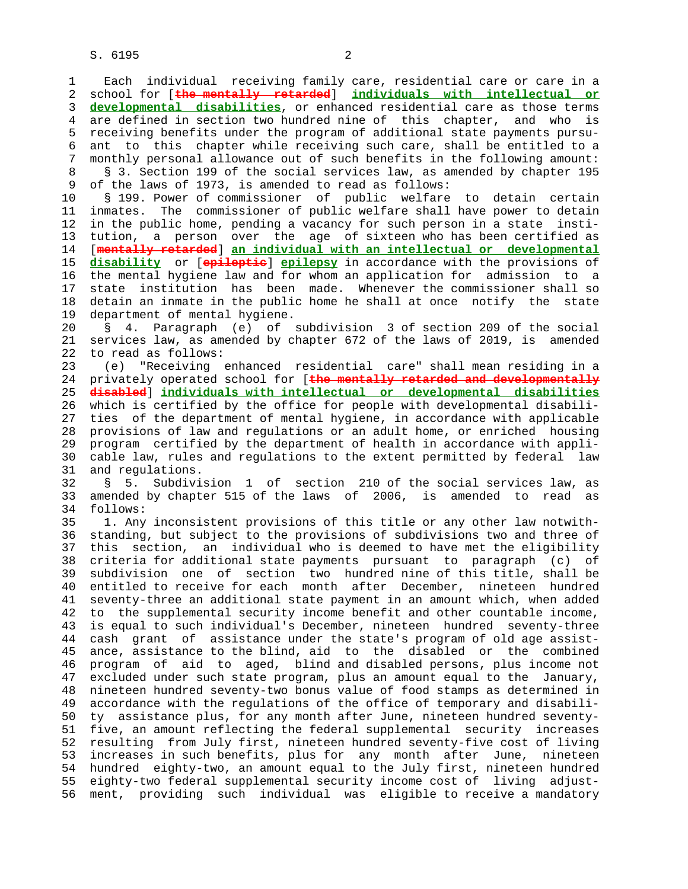3 **developmental disabilities**, or enhanced residential care as those terms 4 are defined in section two hundred nine of this chapter, and who is 5 receiving benefits under the program of additional state payments pursu- 6 ant to this chapter while receiving such care, shall be entitled to a 7 monthly personal allowance out of such benefits in the following amount: 8 § 3. Section 199 of the social services law, as amended by chapter 195<br>9 of the laws of 1973, is amended to read as follows: of the laws of 1973, is amended to read as follows: 10 § 199. Power of commissioner of public welfare to detain certain 11 inmates. The commissioner of public welfare shall have power to detain 12 in the public home, pending a vacancy for such person in a state insti- 13 tution, a person over the age of sixteen who has been certified as 14 [**mentally retarded**] **an individual with an intellectual or developmental** 15 **disability** or [**epileptic**] **epilepsy** in accordance with the provisions of 16 the mental hygiene law and for whom an application for admission to a 17 state institution has been made. Whenever the commissioner shall so 18 detain an inmate in the public home he shall at once notify the state 19 department of mental hygiene.

 20 § 4. Paragraph (e) of subdivision 3 of section 209 of the social 21 services law, as amended by chapter 672 of the laws of 2019, is amended 22 to read as follows:

 23 (e) "Receiving enhanced residential care" shall mean residing in a 24 privately operated school for [**the mentally retarded and developmentally** 25 **disabled**] **individuals with intellectual or developmental disabilities** 26 which is certified by the office for people with developmental disabili- 27 ties of the department of mental hygiene, in accordance with applicable 28 provisions of law and regulations or an adult home, or enriched housing 29 program certified by the department of health in accordance with appli- 30 cable law, rules and regulations to the extent permitted by federal law 31 and regulations.

 32 § 5. Subdivision 1 of section 210 of the social services law, as 33 amended by chapter 515 of the laws of 2006, is amended to read as 34 follows:

 35 1. Any inconsistent provisions of this title or any other law notwith- 36 standing, but subject to the provisions of subdivisions two and three of 37 this section, an individual who is deemed to have met the eligibility 38 criteria for additional state payments pursuant to paragraph (c) of 39 subdivision one of section two hundred nine of this title, shall be 40 entitled to receive for each month after December, nineteen hundred 41 seventy-three an additional state payment in an amount which, when added 42 to the supplemental security income benefit and other countable income, 43 is equal to such individual's December, nineteen hundred seventy-three 44 cash grant of assistance under the state's program of old age assist- 45 ance, assistance to the blind, aid to the disabled or the combined 46 program of aid to aged, blind and disabled persons, plus income not 47 excluded under such state program, plus an amount equal to the January, 48 nineteen hundred seventy-two bonus value of food stamps as determined in 49 accordance with the regulations of the office of temporary and disabili- 50 ty assistance plus, for any month after June, nineteen hundred seventy- 51 five, an amount reflecting the federal supplemental security increases 52 resulting from July first, nineteen hundred seventy-five cost of living 53 increases in such benefits, plus for any month after June, nineteen 54 hundred eighty-two, an amount equal to the July first, nineteen hundred 55 eighty-two federal supplemental security income cost of living adjust- 56 ment, providing such individual was eligible to receive a mandatory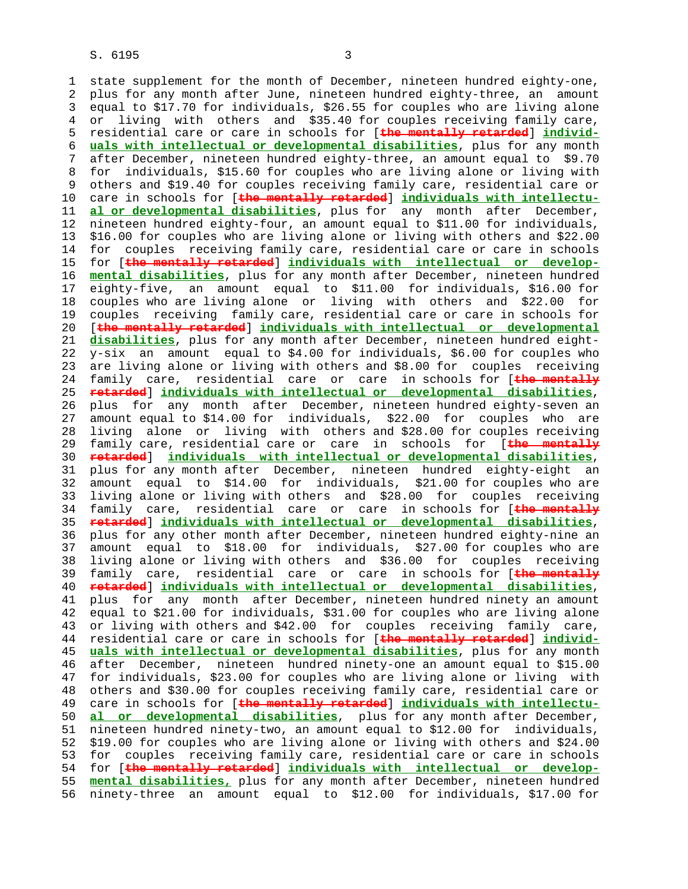1 state supplement for the month of December, nineteen hundred eighty-one, 2 plus for any month after June, nineteen hundred eighty-three, an amount 3 equal to \$17.70 for individuals, \$26.55 for couples who are living alone 4 or living with others and \$35.40 for couples receiving family care, 5 residential care or care in schools for [**the mentally retarded**] **individ-** 6 **uals with intellectual or developmental disabilities**, plus for any month 7 after December, nineteen hundred eighty-three, an amount equal to \$9.70 8 for individuals, \$15.60 for couples who are living alone or living with 9 others and \$19.40 for couples receiving family care, residential care or 10 care in schools for [**the mentally retarded**] **individuals with intellectu-** 11 **al or developmental disabilities**, plus for any month after December, 12 nineteen hundred eighty-four, an amount equal to \$11.00 for individuals, 13 \$16.00 for couples who are living alone or living with others and \$22.00 14 for couples receiving family care, residential care or care in schools 15 for [**the mentally retarded**] **individuals with intellectual or develop-** 16 **mental disabilities**, plus for any month after December, nineteen hundred 17 eighty-five, an amount equal to \$11.00 for individuals, \$16.00 for 18 couples who are living alone or living with others and \$22.00 for 19 couples receiving family care, residential care or care in schools for 20 [**the mentally retarded**] **individuals with intellectual or developmental** 21 **disabilities**, plus for any month after December, nineteen hundred eight- 22 y-six an amount equal to \$4.00 for individuals, \$6.00 for couples who 23 are living alone or living with others and \$8.00 for couples receiving 24 family care, residential care or care in schools for [**the mentally** 25 **retarded**] **individuals with intellectual or developmental disabilities**, 26 plus for any month after December, nineteen hundred eighty-seven an 27 amount equal to \$14.00 for individuals, \$22.00 for couples who are 28 living alone or living with others and \$28.00 for couples receiving 29 family care, residential care or care in schools for [**the mentally** 30 **retarded**] **individuals with intellectual or developmental disabilities**, 31 plus for any month after December, nineteen hundred eighty-eight an 32 amount equal to \$14.00 for individuals, \$21.00 for couples who are 33 living alone or living with others and \$28.00 for couples receiving 34 family care, residential care or care in schools for [**the mentally** 35 **retarded**] **individuals with intellectual or developmental disabilities**, 36 plus for any other month after December, nineteen hundred eighty-nine an 37 amount equal to \$18.00 for individuals, \$27.00 for couples who are 38 living alone or living with others and \$36.00 for couples receiving 39 family care, residential care or care in schools for [**the mentally** 40 **retarded**] **individuals with intellectual or developmental disabilities**, 41 plus for any month after December, nineteen hundred ninety an amount 42 equal to \$21.00 for individuals, \$31.00 for couples who are living alone 43 or living with others and \$42.00 for couples receiving family care, 44 residential care or care in schools for [**the mentally retarded**] **individ-** 45 **uals with intellectual or developmental disabilities**, plus for any month 46 after December, nineteen hundred ninety-one an amount equal to \$15.00 47 for individuals, \$23.00 for couples who are living alone or living with 48 others and \$30.00 for couples receiving family care, residential care or 49 care in schools for [**the mentally retarded**] **individuals with intellectu-** 50 **al or developmental disabilities**, plus for any month after December, 51 nineteen hundred ninety-two, an amount equal to \$12.00 for individuals, 52 \$19.00 for couples who are living alone or living with others and \$24.00 53 for couples receiving family care, residential care or care in schools 54 for [**the mentally retarded**] **individuals with intellectual or develop-** 55 **mental disabilities,** plus for any month after December, nineteen hundred 56 ninety-three an amount equal to \$12.00 for individuals, \$17.00 for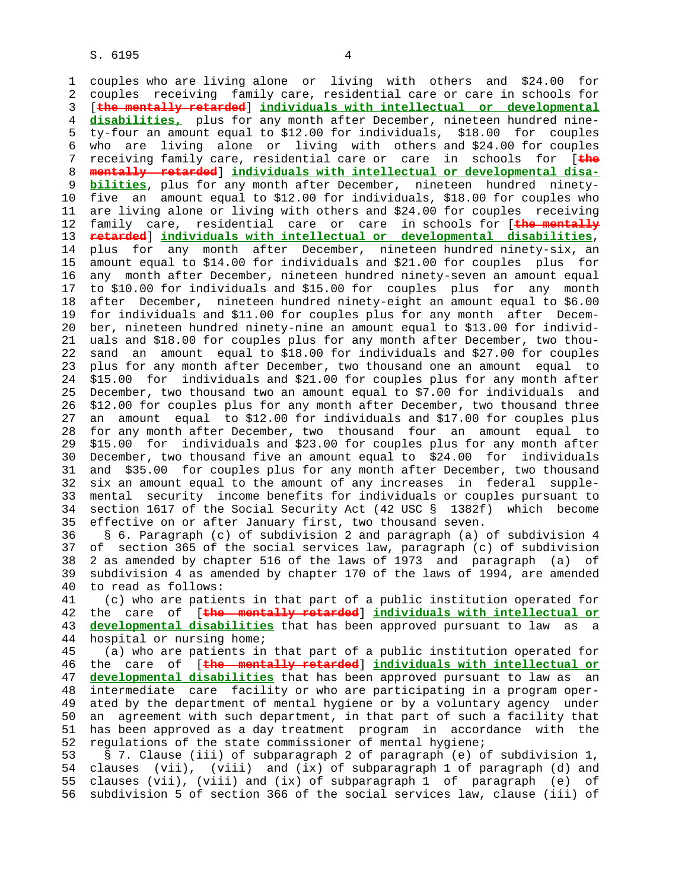1 couples who are living alone or living with others and \$24.00 for 2 couples receiving family care, residential care or care in schools for 3 [**the mentally retarded**] **individuals with intellectual or developmental** 4 **disabilities,** plus for any month after December, nineteen hundred nine- 5 ty-four an amount equal to \$12.00 for individuals, \$18.00 for couples 6 who are living alone or living with others and \$24.00 for couples 7 receiving family care, residential care or care in schools for [**the** 8 **mentally retarded**] **individuals with intellectual or developmental disa bilities**, plus for any month after December, nineteen hundred ninety- 10 five an amount equal to \$12.00 for individuals, \$18.00 for couples who 11 are living alone or living with others and \$24.00 for couples receiving 12 family care, residential care or care in schools for [**the mentally** 13 **retarded**] **individuals with intellectual or developmental disabilities**, 14 plus for any month after December, nineteen hundred ninety-six, an 15 amount equal to \$14.00 for individuals and \$21.00 for couples plus for 16 any month after December, nineteen hundred ninety-seven an amount equal 17 to \$10.00 for individuals and \$15.00 for couples plus for any month 18 after December, nineteen hundred ninety-eight an amount equal to \$6.00 19 for individuals and \$11.00 for couples plus for any month after Decem- 20 ber, nineteen hundred ninety-nine an amount equal to \$13.00 for individ- 21 uals and \$18.00 for couples plus for any month after December, two thou- 22 sand an amount equal to \$18.00 for individuals and \$27.00 for couples 23 plus for any month after December, two thousand one an amount equal to 24 \$15.00 for individuals and \$21.00 for couples plus for any month after 25 December, two thousand two an amount equal to \$7.00 for individuals and 26 \$12.00 for couples plus for any month after December, two thousand three 27 an amount equal to \$12.00 for individuals and \$17.00 for couples plus 28 for any month after December, two thousand four an amount equal to 29 \$15.00 for individuals and \$23.00 for couples plus for any month after 30 December, two thousand five an amount equal to \$24.00 for individuals 31 and \$35.00 for couples plus for any month after December, two thousand 32 six an amount equal to the amount of any increases in federal supple- 33 mental security income benefits for individuals or couples pursuant to 34 section 1617 of the Social Security Act (42 USC § 1382f) which become 35 effective on or after January first, two thousand seven. 36 § 6. Paragraph (c) of subdivision 2 and paragraph (a) of subdivision 4 37 of section 365 of the social services law, paragraph (c) of subdivision 38 2 as amended by chapter 516 of the laws of 1973 and paragraph (a) of 39 subdivision 4 as amended by chapter 170 of the laws of 1994, are amended 40 to read as follows: 41 (c) who are patients in that part of a public institution operated for 42 the care of [**the mentally retarded**] **individuals with intellectual or** 43 **developmental disabilities** that has been approved pursuant to law as a 44 hospital or nursing home; 45 (a) who are patients in that part of a public institution operated for 46 the care of [**the mentally retarded**] **individuals with intellectual or** 47 **developmental disabilities** that has been approved pursuant to law as an 48 intermediate care facility or who are participating in a program oper- 49 ated by the department of mental hygiene or by a voluntary agency under 50 an agreement with such department, in that part of such a facility that 51 has been approved as a day treatment program in accordance with the 52 regulations of the state commissioner of mental hygiene; 53 § 7. Clause (iii) of subparagraph 2 of paragraph (e) of subdivision 1, 54 clauses (vii), (viii) and (ix) of subparagraph 1 of paragraph (d) and 55 clauses (vii), (viii) and (ix) of subparagraph 1 of paragraph (e) of 56 subdivision 5 of section 366 of the social services law, clause (iii) of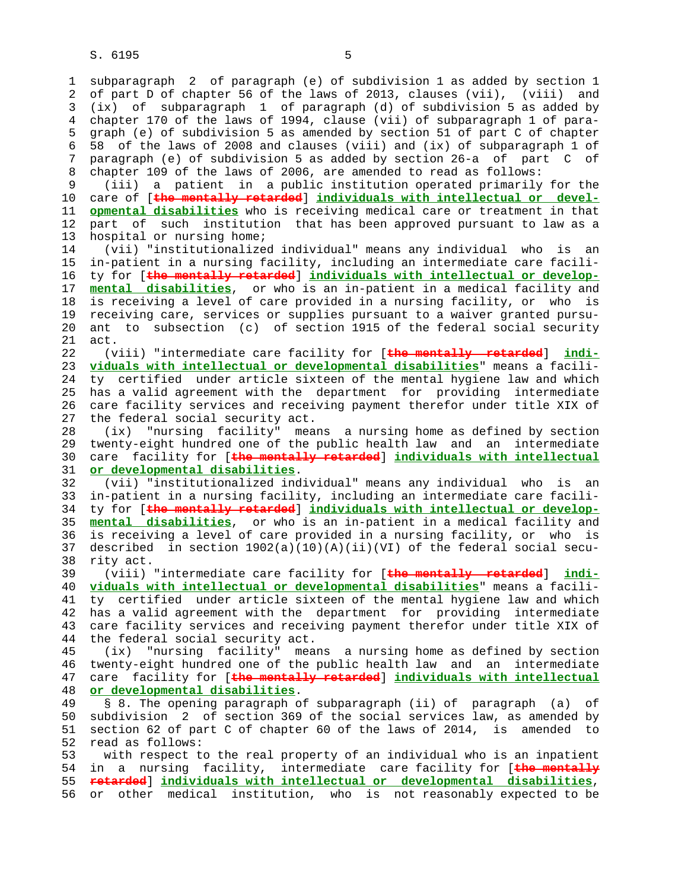S. 6195 5

 1 subparagraph 2 of paragraph (e) of subdivision 1 as added by section 1 2 of part D of chapter 56 of the laws of 2013, clauses (vii), (viii) and 3 (ix) of subparagraph 1 of paragraph (d) of subdivision 5 as added by 4 chapter 170 of the laws of 1994, clause (vii) of subparagraph 1 of para- 5 graph (e) of subdivision 5 as amended by section 51 of part C of chapter 6 58 of the laws of 2008 and clauses (viii) and (ix) of subparagraph 1 of 7 paragraph (e) of subdivision 5 as added by section 26-a of part C of 8 chapter 109 of the laws of 2006, are amended to read as follows:<br>9 (iii) a patient in a public institution operated primarily

(iii) a patient in a public institution operated primarily for the 10 care of [**the mentally retarded**] **individuals with intellectual or devel-** 11 **opmental disabilities** who is receiving medical care or treatment in that 12 part of such institution that has been approved pursuant to law as a 13 hospital or nursing home;

 14 (vii) "institutionalized individual" means any individual who is an 15 in-patient in a nursing facility, including an intermediate care facili- 16 ty for [**the mentally retarded**] **individuals with intellectual or develop-** 17 **mental disabilities**, or who is an in-patient in a medical facility and 18 is receiving a level of care provided in a nursing facility, or who is 19 receiving care, services or supplies pursuant to a waiver granted pursu- 20 ant to subsection (c) of section 1915 of the federal social security 21 act.

 22 (viii) "intermediate care facility for [**the mentally retarded**] **indi-** 23 **viduals with intellectual or developmental disabilities**" means a facili- 24 ty certified under article sixteen of the mental hygiene law and which 25 has a valid agreement with the department for providing intermediate 26 care facility services and receiving payment therefor under title XIX of 27 the federal social security act.

 28 (ix) "nursing facility" means a nursing home as defined by section 29 twenty-eight hundred one of the public health law and an intermediate 30 care facility for [**the mentally retarded**] **individuals with intellectual** 31 **or developmental disabilities**.

 32 (vii) "institutionalized individual" means any individual who is an 33 in-patient in a nursing facility, including an intermediate care facili- 34 ty for [**the mentally retarded**] **individuals with intellectual or develop-** 35 **mental disabilities**, or who is an in-patient in a medical facility and 36 is receiving a level of care provided in a nursing facility, or who is 37 described in section  $1902(a)(10)(A)(ii)(VI)$  of the federal social secu-38 rity act.

 39 (viii) "intermediate care facility for [**the mentally retarded**] **indi-** 40 **viduals with intellectual or developmental disabilities**" means a facili- 41 ty certified under article sixteen of the mental hygiene law and which 42 has a valid agreement with the department for providing intermediate 43 care facility services and receiving payment therefor under title XIX of 44 the federal social security act.

 45 (ix) "nursing facility" means a nursing home as defined by section 46 twenty-eight hundred one of the public health law and an intermediate 47 care facility for [**the mentally retarded**] **individuals with intellectual** 48 **or developmental disabilities**.

 49 § 8. The opening paragraph of subparagraph (ii) of paragraph (a) of 50 subdivision 2 of section 369 of the social services law, as amended by 51 section 62 of part C of chapter 60 of the laws of 2014, is amended to 52 read as follows:

 53 with respect to the real property of an individual who is an inpatient 54 in a nursing facility, intermediate care facility for [**the mentally** 55 **retarded**] **individuals with intellectual or developmental disabilities**, 56 or other medical institution, who is not reasonably expected to be